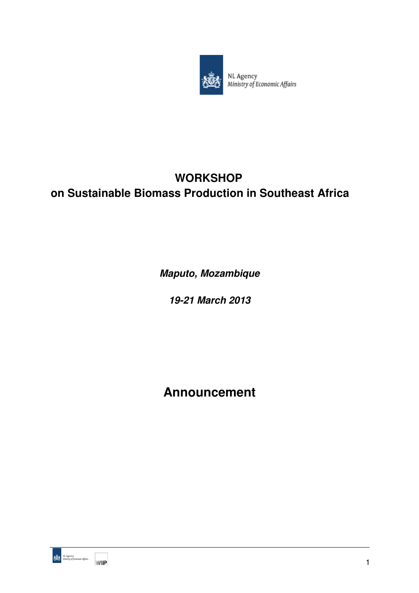

NL Agency<br>Ministry of Economic Affairs

# **WORKSHOP on Sustainable Biomass Production in Southeast Africa**

**Maputo, Mozambique** 

**19-21 March 2013** 

**Announcement** 

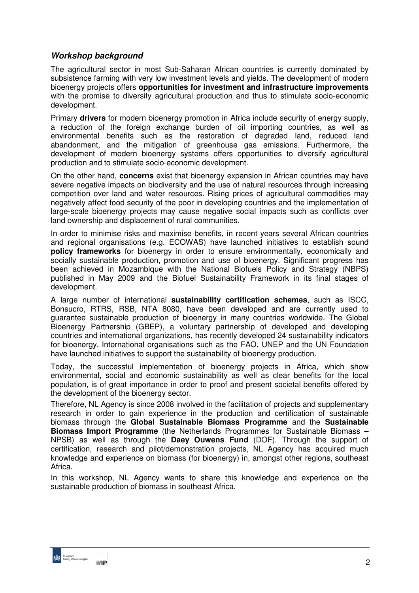## **Workshop background**

The agricultural sector in most Sub-Saharan African countries is currently dominated by subsistence farming with very low investment levels and yields. The development of modern bioenergy projects offers **opportunities for investment and infrastructure improvements** with the promise to diversify agricultural production and thus to stimulate socio-economic development.

Primary **drivers** for modern bioenergy promotion in Africa include security of energy supply, a reduction of the foreign exchange burden of oil importing countries, as well as environmental benefits such as the restoration of degraded land, reduced land abandonment, and the mitigation of greenhouse gas emissions. Furthermore, the development of modern bioenergy systems offers opportunities to diversify agricultural production and to stimulate socio-economic development.

On the other hand, **concerns** exist that bioenergy expansion in African countries may have severe negative impacts on biodiversity and the use of natural resources through increasing competition over land and water resources. Rising prices of agricultural commodities may negatively affect food security of the poor in developing countries and the implementation of large-scale bioenergy projects may cause negative social impacts such as conflicts over land ownership and displacement of rural communities.

In order to minimise risks and maximise benefits, in recent years several African countries and regional organisations (e.g. ECOWAS) have launched initiatives to establish sound **policy frameworks** for bioenergy in order to ensure environmentally, economically and socially sustainable production, promotion and use of bioenergy. Significant progress has been achieved in Mozambique with the National Biofuels Policy and Strategy (NBPS) published in May 2009 and the Biofuel Sustainability Framework in its final stages of development.

A large number of international **sustainability certification schemes**, such as ISCC, Bonsucro, RTRS, RSB, NTA 8080, have been developed and are currently used to guarantee sustainable production of bioenergy in many countries worldwide. The Global Bioenergy Partnership (GBEP), a voluntary partnership of developed and developing countries and international organizations, has recently developed 24 sustainability indicators for bioenergy. International organisations such as the FAO, UNEP and the UN Foundation have launched initiatives to support the sustainability of bioenergy production.

Today, the successful implementation of bioenergy projects in Africa, which show environmental, social and economic sustainability as well as clear benefits for the local population, is of great importance in order to proof and present societal benefits offered by the development of the bioenergy sector.

Therefore, NL Agency is since 2008 involved in the facilitation of projects and supplementary research in order to gain experience in the production and certification of sustainable biomass through the **Global Sustainable Biomass Programme** and the **Sustainable Biomass Import Programme** (the Netherlands Programmes for Sustainable Biomass – NPSB) as well as through the **Daey Ouwens Fund** (DOF). Through the support of certification, research and pilot/demonstration projects, NL Agency has acquired much knowledge and experience on biomass (for bioenergy) in, amongst other regions, southeast Africa.

In this workshop, NL Agency wants to share this knowledge and experience on the sustainable production of biomass in southeast Africa.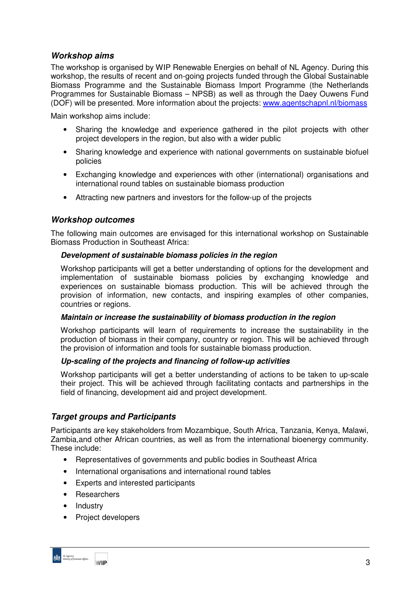## **Workshop aims**

The workshop is organised by WIP Renewable Energies on behalf of NL Agency. During this workshop, the results of recent and on-going projects funded through the Global Sustainable Biomass Programme and the Sustainable Biomass Import Programme (the Netherlands Programmes for Sustainable Biomass – NPSB) as well as through the Daey Ouwens Fund (DOF) will be presented. More information about the projects: www.agentschapnl.nl/biomass

Main workshop aims include:

- Sharing the knowledge and experience gathered in the pilot projects with other project developers in the region, but also with a wider public
- Sharing knowledge and experience with national governments on sustainable biofuel policies
- Exchanging knowledge and experiences with other (international) organisations and international round tables on sustainable biomass production
- Attracting new partners and investors for the follow-up of the projects

### **Workshop outcomes**

The following main outcomes are envisaged for this international workshop on Sustainable Biomass Production in Southeast Africa:

#### **Development of sustainable biomass policies in the region**

Workshop participants will get a better understanding of options for the development and implementation of sustainable biomass policies by exchanging knowledge and experiences on sustainable biomass production. This will be achieved through the provision of information, new contacts, and inspiring examples of other companies, countries or regions.

#### **Maintain or increase the sustainability of biomass production in the region**

Workshop participants will learn of requirements to increase the sustainability in the production of biomass in their company, country or region. This will be achieved through the provision of information and tools for sustainable biomass production.

#### **Up-scaling of the projects and financing of follow-up activities**

Workshop participants will get a better understanding of actions to be taken to up-scale their project. This will be achieved through facilitating contacts and partnerships in the field of financing, development aid and project development.

### **Target groups and Participants**

Participants are key stakeholders from Mozambique, South Africa, Tanzania, Kenya, Malawi, Zambia,and other African countries, as well as from the international bioenergy community. These include:

- Representatives of governments and public bodies in Southeast Africa
- International organisations and international round tables
- Experts and interested participants
- Researchers
- Industry
- Project developers

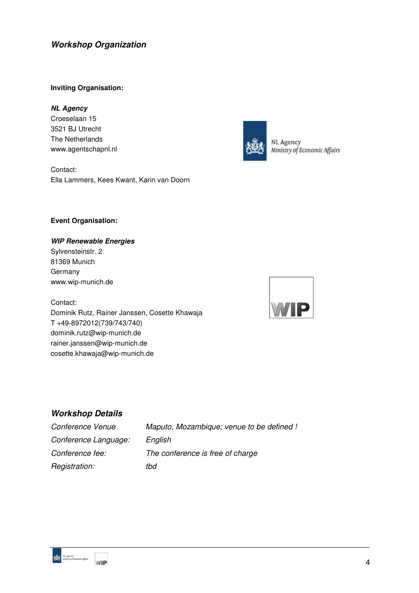# **Workshop Organization**

#### **Inviting Organisation:**

#### **NL Agency**

Croeselaan 15 3521 BJ Utrecht The Netherlands www.agentschapnl.nl

Contact: Ella Lammers, Kees Kwant, Karin van Doorn



NL Agency Ministry of Economic Affairs

#### **Event Organisation:**

#### **WIP Renewable Energies**

Sylvensteinstr. 2 81369 Munich Germany www.wip-munich.de

Contact: Dominik Rutz, Rainer Janssen, Cosette Khawaja T +49-8972012(739/743/740) dominik.rutz@wip-munich.de rainer.janssen@wip-munich.de cosette.khawaja@wip-munich.de



# **Workshop Details**

| Conference Venue     | Maputo, Mozambique; venue to be defined ! |
|----------------------|-------------------------------------------|
| Conference Language: | English                                   |
| Conference fee:      | The conference is free of charge          |
| Registration:        | tbd                                       |